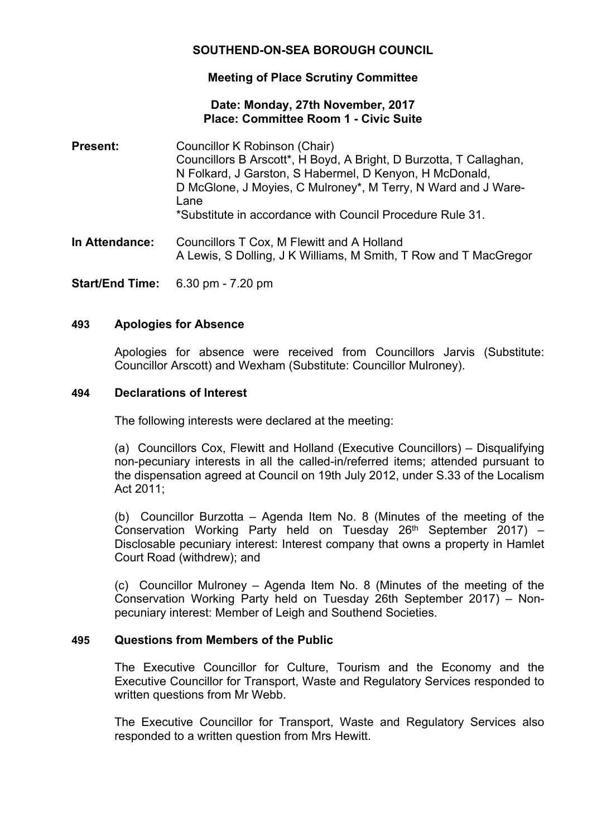# **SOUTHEND-ON-SEA BOROUGH COUNCIL**

## **Meeting of Place Scrutiny Committee**

### **Date: Monday, 27th November, 2017 Place: Committee Room 1 - Civic Suite**

- **Present:** Councillor K Robinson (Chair) Councillors B Arscott\*, H Boyd, A Bright, D Burzotta, T Callaghan, N Folkard, J Garston, S Habermel, D Kenyon, H McDonald, D McGlone, J Moyies, C Mulroney\*, M Terry, N Ward and J Ware-Lane \*Substitute in accordance with Council Procedure Rule 31.
- **In Attendance:** Councillors T Cox, M Flewitt and A Holland A Lewis, S Dolling, J K Williams, M Smith, T Row and T MacGregor

**Start/End Time:** 6.30 pm - 7.20 pm

#### **493 Apologies for Absence**

Apologies for absence were received from Councillors Jarvis (Substitute: Councillor Arscott) and Wexham (Substitute: Councillor Mulroney).

#### **494 Declarations of Interest**

The following interests were declared at the meeting:

(a) Councillors Cox, Flewitt and Holland (Executive Councillors) – Disqualifying non-pecuniary interests in all the called-in/referred items; attended pursuant to the dispensation agreed at Council on 19th July 2012, under S.33 of the Localism Act 2011;

(b) Councillor Burzotta – Agenda Item No. 8 (Minutes of the meeting of the Conservation Working Party held on Tuesday 26<sup>th</sup> September 2017) -Disclosable pecuniary interest: Interest company that owns a property in Hamlet Court Road (withdrew); and

(c) Councillor Mulroney – Agenda Item No. 8 (Minutes of the meeting of the Conservation Working Party held on Tuesday 26th September 2017) – Nonpecuniary interest: Member of Leigh and Southend Societies.

#### **495 Questions from Members of the Public**

The Executive Councillor for Culture, Tourism and the Economy and the Executive Councillor for Transport, Waste and Regulatory Services responded to written questions from Mr Webb.

The Executive Councillor for Transport, Waste and Regulatory Services also responded to a written question from Mrs Hewitt.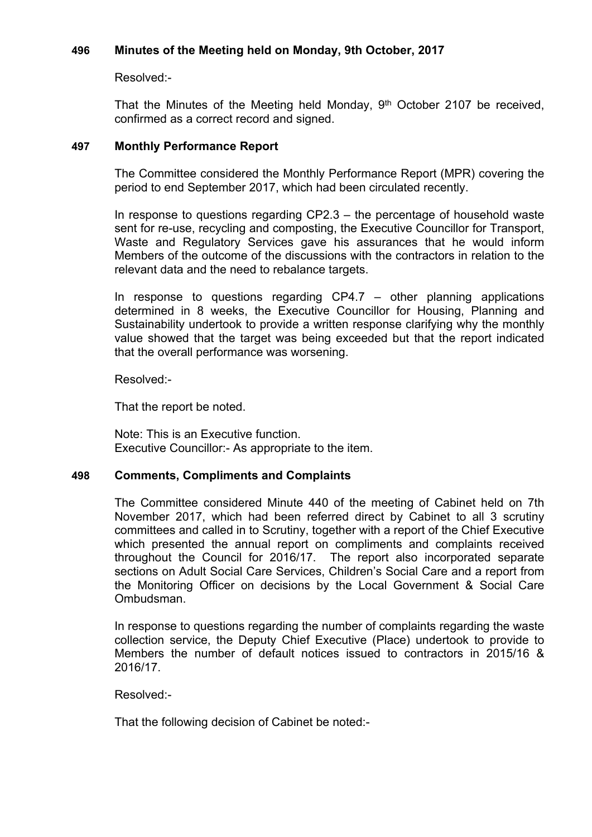## **496 Minutes of the Meeting held on Monday, 9th October, 2017**

Resolved:-

That the Minutes of the Meeting held Monday, 9<sup>th</sup> October 2107 be received, confirmed as a correct record and signed.

## **497 Monthly Performance Report**

The Committee considered the Monthly Performance Report (MPR) covering the period to end September 2017, which had been circulated recently.

In response to questions regarding CP2.3 – the percentage of household waste sent for re-use, recycling and composting, the Executive Councillor for Transport, Waste and Regulatory Services gave his assurances that he would inform Members of the outcome of the discussions with the contractors in relation to the relevant data and the need to rebalance targets.

In response to questions regarding  $CP4.7$  – other planning applications determined in 8 weeks, the Executive Councillor for Housing, Planning and Sustainability undertook to provide a written response clarifying why the monthly value showed that the target was being exceeded but that the report indicated that the overall performance was worsening.

Resolved:-

That the report be noted.

Note: This is an Executive function. Executive Councillor:- As appropriate to the item.

## **498 Comments, Compliments and Complaints**

The Committee considered Minute 440 of the meeting of Cabinet held on 7th November 2017, which had been referred direct by Cabinet to all 3 scrutiny committees and called in to Scrutiny, together with a report of the Chief Executive which presented the annual report on compliments and complaints received throughout the Council for 2016/17. The report also incorporated separate sections on Adult Social Care Services, Children's Social Care and a report from the Monitoring Officer on decisions by the Local Government & Social Care Ombudsman.

In response to questions regarding the number of complaints regarding the waste collection service, the Deputy Chief Executive (Place) undertook to provide to Members the number of default notices issued to contractors in 2015/16 & 2016/17.

Resolved:-

That the following decision of Cabinet be noted:-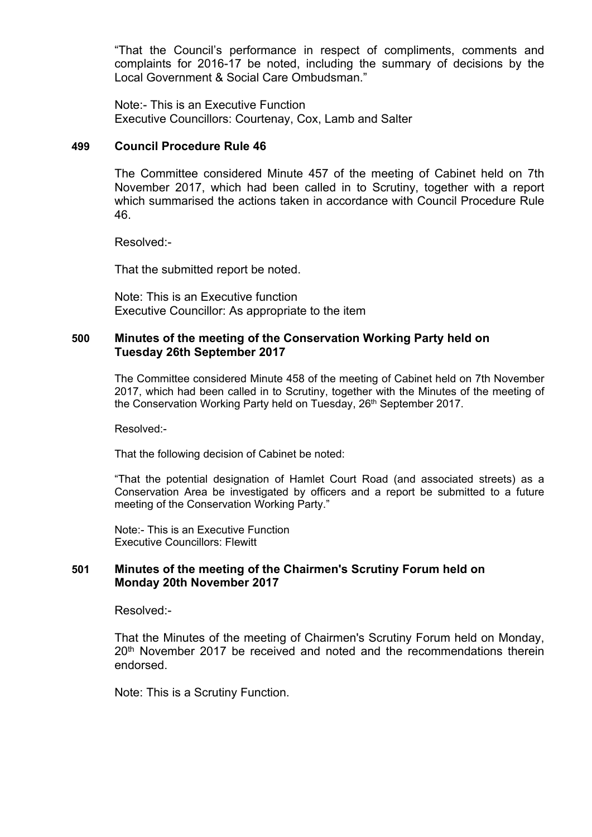"That the Council's performance in respect of compliments, comments and complaints for 2016-17 be noted, including the summary of decisions by the Local Government & Social Care Ombudsman."

Note:- This is an Executive Function Executive Councillors: Courtenay, Cox, Lamb and Salter

#### **499 Council Procedure Rule 46**

The Committee considered Minute 457 of the meeting of Cabinet held on 7th November 2017, which had been called in to Scrutiny, together with a report which summarised the actions taken in accordance with Council Procedure Rule 46.

Resolved:-

That the submitted report be noted.

Note: This is an Executive function Executive Councillor: As appropriate to the item

### **500 Minutes of the meeting of the Conservation Working Party held on Tuesday 26th September 2017**

The Committee considered Minute 458 of the meeting of Cabinet held on 7th November 2017, which had been called in to Scrutiny, together with the Minutes of the meeting of the Conservation Working Party held on Tuesday, 26<sup>th</sup> September 2017.

Resolved:-

That the following decision of Cabinet be noted:

"That the potential designation of Hamlet Court Road (and associated streets) as a Conservation Area be investigated by officers and a report be submitted to a future meeting of the Conservation Working Party."

Note:- This is an Executive Function Executive Councillors: Flewitt

#### **501 Minutes of the meeting of the Chairmen's Scrutiny Forum held on Monday 20th November 2017**

Resolved:-

That the Minutes of the meeting of Chairmen's Scrutiny Forum held on Monday, 20<sup>th</sup> November 2017 be received and noted and the recommendations therein endorsed.

Note: This is a Scrutiny Function.